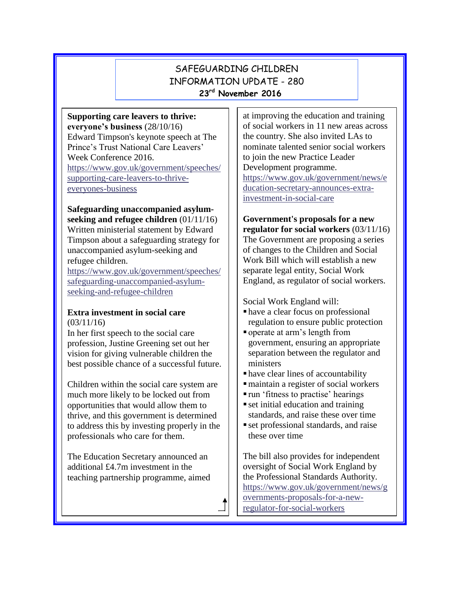# SAFEGUARDING CHILDREN INFORMATION UPDATE - 280 **23 rd November 2016**

**Supporting care leavers to thrive: everyone's business** (28/10/16) Edward Timpson's keynote speech at The Prince's Trust National Care Leavers' Week Conference 2016. [https://www.gov.uk/government/speeches/](https://www.gov.uk/government/speeches/supporting-care-leavers-to-thrive-everyones-business) [supporting-care-leavers-to-thrive](https://www.gov.uk/government/speeches/supporting-care-leavers-to-thrive-everyones-business)[everyones-business](https://www.gov.uk/government/speeches/supporting-care-leavers-to-thrive-everyones-business)

**Safeguarding unaccompanied asylumseeking and refugee children** (01/11/16) Written ministerial statement by Edward Timpson about a safeguarding strategy for

unaccompanied asylum-seeking and refugee children.

[https://www.gov.uk/government/speeches/](https://www.gov.uk/government/speeches/safeguarding-unaccompanied-asylum-seeking-and-refugee-children) [safeguarding-unaccompanied-asylum](https://www.gov.uk/government/speeches/safeguarding-unaccompanied-asylum-seeking-and-refugee-children)[seeking-and-refugee-children](https://www.gov.uk/government/speeches/safeguarding-unaccompanied-asylum-seeking-and-refugee-children)

#### **Extra investment in social care**  $(03/11/16)$

In her first speech to the social care profession, Justine Greening set out her vision for giving vulnerable children the best possible chance of a successful future.

Children within the social care system are much more likely to be locked out from opportunities that would allow them to thrive, and this government is determined to address this by investing properly in the professionals who care for them.

The Education Secretary announced an additional £4.7m investment in the teaching partnership programme, aimed at improving the education and training of social workers in 11 new areas across the country. She also invited LAs to nominate talented senior social workers to join the new Practice Leader Development programme. [https://www.gov.uk/government/news/e](https://www.gov.uk/government/news/education-secretary-announces-extra-investment-in-social-care) [ducation-secretary-announces-extra](https://www.gov.uk/government/news/education-secretary-announces-extra-investment-in-social-care)[investment-in-social-care](https://www.gov.uk/government/news/education-secretary-announces-extra-investment-in-social-care)

# **Government's proposals for a new regulator for social workers** (03/11/16)

The Government are proposing a series of changes to the Children and Social Work Bill which will establish a new separate legal entity, Social Work England, as regulator of social workers.

Social Work England will:

- have a clear focus on professional regulation to ensure public protection
- operate at arm's length from government, ensuring an appropriate separation between the regulator and ministers
- have clear lines of accountability
- maintain a register of social workers
- run 'fitness to practise' hearings
- set initial education and training standards, and raise these over time
- set professional standards, and raise these over time

The bill also provides for independent oversight of Social Work England by the Professional Standards Authority. [https://www.gov.uk/government/news/g](https://www.gov.uk/government/news/governments-proposals-for-a-new-regulator-for-social-workers) [overnments-proposals-for-a-new](https://www.gov.uk/government/news/governments-proposals-for-a-new-regulator-for-social-workers)[regulator-for-social-workers](https://www.gov.uk/government/news/governments-proposals-for-a-new-regulator-for-social-workers)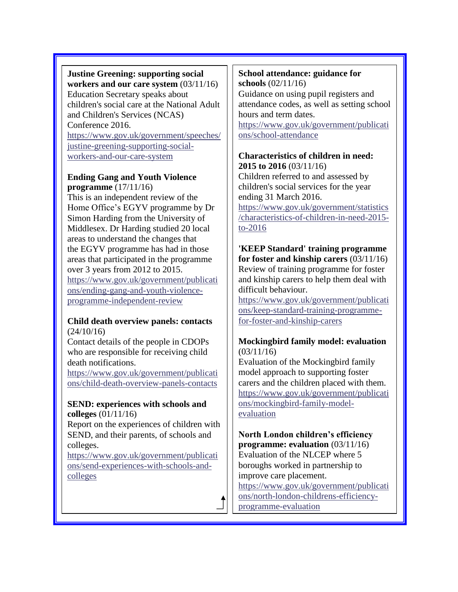# **Justine Greening: supporting social workers and our care system** (03/11/16) Education Secretary speaks about children's social care at the National Adult and Children's Services (NCAS) Conference 2016. [https://www.gov.uk/government/speeches/](https://www.gov.uk/government/speeches/justine-greening-supporting-social-workers-and-our-care-system) [justine-greening-supporting-social](https://www.gov.uk/government/speeches/justine-greening-supporting-social-workers-and-our-care-system)[workers-and-our-care-system](https://www.gov.uk/government/speeches/justine-greening-supporting-social-workers-and-our-care-system)

# **Ending Gang and Youth Violence programme** (17/11/16)

This is an independent review of the Home Office's EGYV programme by Dr Simon Harding from the University of Middlesex. Dr Harding studied 20 local areas to understand the changes that the EGYV programme has had in those areas that participated in the programme over 3 years from 2012 to 2015. [https://www.gov.uk/government/publicati](https://www.gov.uk/government/publications/ending-gang-and-youth-violence-programme-independent-review) [ons/ending-gang-and-youth-violence](https://www.gov.uk/government/publications/ending-gang-and-youth-violence-programme-independent-review)[programme-independent-review](https://www.gov.uk/government/publications/ending-gang-and-youth-violence-programme-independent-review)

# **Child death overview panels: contacts** (24/10/16)

Contact details of the people in CDOPs who are responsible for receiving child death notifications.

[https://www.gov.uk/government/publicati](https://www.gov.uk/government/publications/child-death-overview-panels-contacts) [ons/child-death-overview-panels-contacts](https://www.gov.uk/government/publications/child-death-overview-panels-contacts)

# **SEND: experiences with schools and colleges** (01/11/16)

Report on the experiences of children with SEND, and their parents, of schools and colleges.

[https://www.gov.uk/government/publicati](https://www.gov.uk/government/publications/send-experiences-with-schools-and-colleges) [ons/send-experiences-with-schools-and](https://www.gov.uk/government/publications/send-experiences-with-schools-and-colleges)[colleges](https://www.gov.uk/government/publications/send-experiences-with-schools-and-colleges)

## **School attendance: guidance for schools** (02/11/16)

Guidance on using pupil registers and attendance codes, as well as setting school hours and term dates.

[https://www.gov.uk/government/publicati](https://www.gov.uk/government/publications/school-attendance) [ons/school-attendance](https://www.gov.uk/government/publications/school-attendance)

#### **Characteristics of children in need: 2015 to 2016** (03/11/16)

Children referred to and assessed by children's social services for the year ending 31 March 2016.

[https://www.gov.uk/government/statistics](https://www.gov.uk/government/statistics/characteristics-of-children-in-need-2015-to-2016) [/characteristics-of-children-in-need-2015](https://www.gov.uk/government/statistics/characteristics-of-children-in-need-2015-to-2016) [to-2016](https://www.gov.uk/government/statistics/characteristics-of-children-in-need-2015-to-2016)

## **'KEEP Standard' training programme for foster and kinship carers** (03/11/16) Review of training programme for foster and kinship carers to help them deal with difficult behaviour.

[https://www.gov.uk/government/publicati](https://www.gov.uk/government/publications/keep-standard-training-programme-for-foster-and-kinship-carers) [ons/keep-standard-training-programme](https://www.gov.uk/government/publications/keep-standard-training-programme-for-foster-and-kinship-carers)[for-foster-and-kinship-carers](https://www.gov.uk/government/publications/keep-standard-training-programme-for-foster-and-kinship-carers)

# **Mockingbird family model: evaluation**  $(03/11/16)$

Evaluation of the Mockingbird family model approach to supporting foster carers and the children placed with them. [https://www.gov.uk/government/publicati](https://www.gov.uk/government/publications/mockingbird-family-model-evaluation) [ons/mockingbird-family-model](https://www.gov.uk/government/publications/mockingbird-family-model-evaluation)[evaluation](https://www.gov.uk/government/publications/mockingbird-family-model-evaluation)

### **North London children's efficiency programme: evaluation** (03/11/16) Evaluation of the NLCEP where 5 boroughs worked in partnership to improve care placement.

[https://www.gov.uk/government/publicati](https://www.gov.uk/government/publications/north-london-childrens-efficiency-programme-evaluation) [ons/north-london-childrens-efficiency](https://www.gov.uk/government/publications/north-london-childrens-efficiency-programme-evaluation)[programme-evaluation](https://www.gov.uk/government/publications/north-london-childrens-efficiency-programme-evaluation)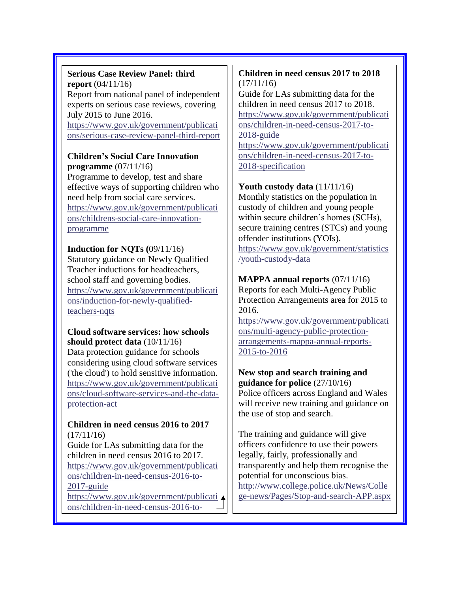#### **Serious Case Review Panel: third report** (04/11/16) Report from national panel of independent experts on serious case reviews, covering July 2015 to June 2016. [https://www.gov.uk/government/publicati](https://www.gov.uk/government/publications/serious-case-review-panel-third-report)

[ons/serious-case-review-panel-third-report](https://www.gov.uk/government/publications/serious-case-review-panel-third-report)

#### **Children's Social Care Innovation programme** (07/11/16)

Programme to develop, test and share effective ways of supporting children who need help from social care services. [https://www.gov.uk/government/publicati](https://www.gov.uk/government/publications/childrens-social-care-innovation-programme) [ons/childrens-social-care-innovation](https://www.gov.uk/government/publications/childrens-social-care-innovation-programme)[programme](https://www.gov.uk/government/publications/childrens-social-care-innovation-programme)

**Induction for NQTs (**09/11/16) Statutory guidance on Newly Qualified Teacher inductions for headteachers, school staff and governing bodies. [https://www.gov.uk/government/publicati](https://www.gov.uk/government/publications/induction-for-newly-qualified-teachers-nqts) [ons/induction-for-newly-qualified](https://www.gov.uk/government/publications/induction-for-newly-qualified-teachers-nqts)[teachers-nqts](https://www.gov.uk/government/publications/induction-for-newly-qualified-teachers-nqts)

# **Cloud software services: how schools should protect data** (10/11/16)

Data protection guidance for schools considering using cloud software services ('the cloud') to hold sensitive information. [https://www.gov.uk/government/publicati](https://www.gov.uk/government/publications/cloud-software-services-and-the-data-protection-act) [ons/cloud-software-services-and-the-data](https://www.gov.uk/government/publications/cloud-software-services-and-the-data-protection-act)[protection-act](https://www.gov.uk/government/publications/cloud-software-services-and-the-data-protection-act)

#### **Children in need census 2016 to 2017**  (17/11/16)

Guide for LAs submitting data for the children in need census 2016 to 2017. [https://www.gov.uk/government/publicati](https://www.gov.uk/government/publications/children-in-need-census-2016-to-2017-guide) [ons/children-in-need-census-2016-to-](https://www.gov.uk/government/publications/children-in-need-census-2016-to-2017-guide)[2017-guide](https://www.gov.uk/government/publications/children-in-need-census-2016-to-2017-guide)

[https://www.gov.uk/government/publicati](https://www.gov.uk/government/publications/children-in-need-census-2016-to-2017-specification) [ons/children-in-need-census-2016-to-](https://www.gov.uk/government/publications/children-in-need-census-2016-to-2017-specification)

[2017-specification](https://www.gov.uk/government/publications/children-in-need-census-2016-to-2017-specification)

# **Children in need census 2017 to 2018**   $(17/11/16)$

Guide for LAs submitting data for the children in need census 2017 to 2018. [https://www.gov.uk/government/publicati](https://www.gov.uk/government/publications/children-in-need-census-2017-to-2018-guide) [ons/children-in-need-census-2017-to-](https://www.gov.uk/government/publications/children-in-need-census-2017-to-2018-guide)[2018-guide](https://www.gov.uk/government/publications/children-in-need-census-2017-to-2018-guide)

[https://www.gov.uk/government/publicati](https://www.gov.uk/government/publications/children-in-need-census-2017-to-2018-specification) [ons/children-in-need-census-2017-to-](https://www.gov.uk/government/publications/children-in-need-census-2017-to-2018-specification)[2018-specification](https://www.gov.uk/government/publications/children-in-need-census-2017-to-2018-specification)

# **Youth custody data** (11/11/16)

Monthly statistics on the population in custody of children and young people within secure children's homes (SCHs), secure training centres (STCs) and young offender institutions (YOIs). [https://www.gov.uk/government/statistics](https://www.gov.uk/government/statistics/youth-custody-data) [/youth-custody-data](https://www.gov.uk/government/statistics/youth-custody-data)

# **MAPPA annual reports** (07/11/16)

Reports for each Multi-Agency Public Protection Arrangements area for 2015 to 2016.

[https://www.gov.uk/government/publicati](https://www.gov.uk/government/publications/multi-agency-public-protection-arrangements-mappa-annual-reports-2015-to-2016) [ons/multi-agency-public-protection](https://www.gov.uk/government/publications/multi-agency-public-protection-arrangements-mappa-annual-reports-2015-to-2016)[arrangements-mappa-annual-reports-](https://www.gov.uk/government/publications/multi-agency-public-protection-arrangements-mappa-annual-reports-2015-to-2016)[2015-to-2016](https://www.gov.uk/government/publications/multi-agency-public-protection-arrangements-mappa-annual-reports-2015-to-2016)

#### **New stop and search training and guidance for police** (27/10/16)

Police officers across England and Wales will receive new training and guidance on the use of stop and search.

The training and guidance will give officers confidence to use their powers legally, fairly, professionally and transparently and help them recognise the potential for unconscious bias. [http://www.college.police.uk/News/Colle](http://www.college.police.uk/News/College-news/Pages/Stop-and-search-APP.aspx) [ge-news/Pages/Stop-and-search-APP.aspx](http://www.college.police.uk/News/College-news/Pages/Stop-and-search-APP.aspx)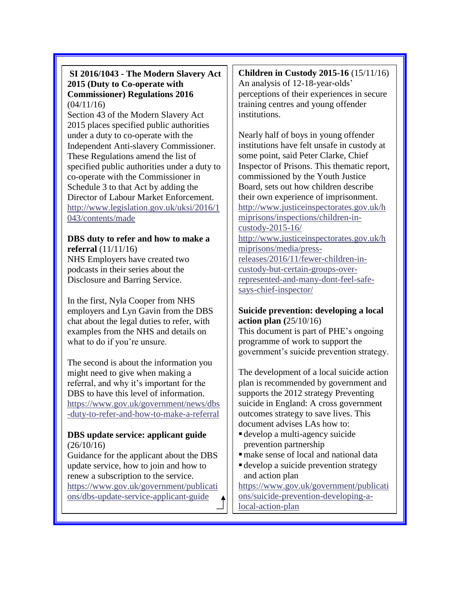# **SI 2016/1043 - The Modern Slavery Act 2015 (Duty to Co-operate with Commissioner) Regulations 2016**  $(04/11/16)$

Section 43 of the Modern Slavery Act 2015 places specified public authorities under a duty to co-operate with the Independent Anti-slavery Commissioner. These Regulations amend the list of specified public authorities under a duty to co-operate with the Commissioner in Schedule 3 to that Act by adding the Director of Labour Market Enforcement. [http://www.legislation.gov.uk/uksi/2016/1](http://www.legislation.gov.uk/uksi/2016/1043/contents/made) [043/contents/made](http://www.legislation.gov.uk/uksi/2016/1043/contents/made)

### **DBS duty to refer and how to make a referral** (11/11/16) NHS Employers have created two

podcasts in their series about the Disclosure and Barring Service.

In the first, Nyla Cooper from NHS employers and Lyn Gavin from the DBS chat about the legal duties to refer, with examples from the NHS and details on what to do if you're unsure.

The second is about the information you might need to give when making a referral, and why it's important for the DBS to have this level of information. [https://www.gov.uk/government/news/dbs](https://www.gov.uk/government/news/dbs-duty-to-refer-and-how-to-make-a-referral) [-duty-to-refer-and-how-to-make-a-referral](https://www.gov.uk/government/news/dbs-duty-to-refer-and-how-to-make-a-referral)

# **DBS update service: applicant guide**  $(26/10/16)$

Guidance for the applicant about the DBS update service, how to join and how to renew a subscription to the service. [https://www.gov.uk/government/publicati](https://www.gov.uk/government/publications/dbs-update-service-applicant-guide) [ons/dbs-update-service-applicant-guide](https://www.gov.uk/government/publications/dbs-update-service-applicant-guide)

**Children in Custody 2015-16** (15/11/16) An analysis of 12-18-year-olds' perceptions of their experiences in secure training centres and young offender institutions.

Nearly half of boys in young offender institutions have felt unsafe in custody at some point, said Peter Clarke, Chief Inspector of Prisons. This thematic report, commissioned by the Youth Justice Board, sets out how children describe their own experience of imprisonment. [http://www.justiceinspectorates.gov.uk/h](http://www.justiceinspectorates.gov.uk/hmiprisons/inspections/children-in-custody-2015-16/) [miprisons/inspections/children-in](http://www.justiceinspectorates.gov.uk/hmiprisons/inspections/children-in-custody-2015-16/)[custody-2015-16/](http://www.justiceinspectorates.gov.uk/hmiprisons/inspections/children-in-custody-2015-16/) [http://www.justiceinspectorates.gov.uk/h](http://www.justiceinspectorates.gov.uk/hmiprisons/media/press-releases/2016/11/fewer-children-in-custody-but-certain-groups-over-represented-and-many-dont-feel-safe-says-chief-inspector/) [miprisons/media/press](http://www.justiceinspectorates.gov.uk/hmiprisons/media/press-releases/2016/11/fewer-children-in-custody-but-certain-groups-over-represented-and-many-dont-feel-safe-says-chief-inspector/)[releases/2016/11/fewer-children-in](http://www.justiceinspectorates.gov.uk/hmiprisons/media/press-releases/2016/11/fewer-children-in-custody-but-certain-groups-over-represented-and-many-dont-feel-safe-says-chief-inspector/)[custody-but-certain-groups-over](http://www.justiceinspectorates.gov.uk/hmiprisons/media/press-releases/2016/11/fewer-children-in-custody-but-certain-groups-over-represented-and-many-dont-feel-safe-says-chief-inspector/)[represented-and-many-dont-feel-safe](http://www.justiceinspectorates.gov.uk/hmiprisons/media/press-releases/2016/11/fewer-children-in-custody-but-certain-groups-over-represented-and-many-dont-feel-safe-says-chief-inspector/)[says-chief-inspector/](http://www.justiceinspectorates.gov.uk/hmiprisons/media/press-releases/2016/11/fewer-children-in-custody-but-certain-groups-over-represented-and-many-dont-feel-safe-says-chief-inspector/)

# **Suicide prevention: developing a local action plan (**25/10/16)

This document is part of PHE's ongoing programme of work to support the government's suicide prevention strategy.

The development of a local suicide action plan is recommended by government and supports the 2012 strategy Preventing suicide in England: A cross government outcomes strategy to save lives. This document advises LAs how to:

- develop a multi-agency suicide prevention partnership
- make sense of local and national data
- develop a suicide prevention strategy and action plan

[https://www.gov.uk/government/publicati](https://www.gov.uk/government/publications/suicide-prevention-developing-a-local-action-plan) [ons/suicide-prevention-developing-a](https://www.gov.uk/government/publications/suicide-prevention-developing-a-local-action-plan)[local-action-plan](https://www.gov.uk/government/publications/suicide-prevention-developing-a-local-action-plan)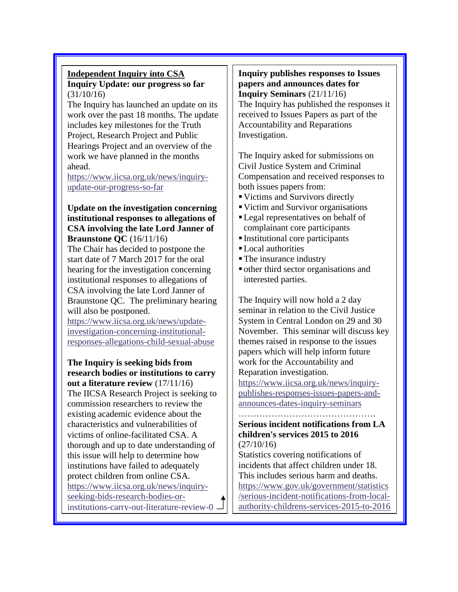#### **Independent Inquiry into CSA Inquiry Update: our progress so far** (31/10/16)

The Inquiry has launched an update on its work over the past 18 months. The update includes key milestones for the Truth Project, Research Project and Public Hearings Project and an overview of the work we have planned in the months ahead.

[https://www.iicsa.org.uk/news/inquiry](https://www.iicsa.org.uk/news/inquiry-update-our-progress-so-far)[update-our-progress-so-far](https://www.iicsa.org.uk/news/inquiry-update-our-progress-so-far)

#### **Update on the investigation concerning institutional responses to allegations of CSA involving the late Lord Janner of Braunstone QC** (16/11/16)

The Chair has decided to postpone the start date of 7 March 2017 for the oral hearing for the investigation concerning institutional responses to allegations of CSA involving the late Lord Janner of Braunstone QC. The preliminary hearing will also be postponed.

[https://www.iicsa.org.uk/news/update](https://www.iicsa.org.uk/news/update-investigation-concerning-institutional-responses-allegations-child-sexual-abuse)[investigation-concerning-institutional](https://www.iicsa.org.uk/news/update-investigation-concerning-institutional-responses-allegations-child-sexual-abuse)[responses-allegations-child-sexual-abuse](https://www.iicsa.org.uk/news/update-investigation-concerning-institutional-responses-allegations-child-sexual-abuse)

**The Inquiry is seeking bids from research bodies or institutions to carry out a literature review** (17/11/16) The IICSA Research Project is seeking to commission researchers to review the existing academic evidence about the characteristics and vulnerabilities of victims of online-facilitated CSA. A thorough and up to date understanding of this issue will help to determine how institutions have failed to adequately protect children from online CSA. [https://www.iicsa.org.uk/news/inquiry](https://www.iicsa.org.uk/news/inquiry-seeking-bids-research-bodies-or-institutions-carry-out-literature-review-0)[seeking-bids-research-bodies-or](https://www.iicsa.org.uk/news/inquiry-seeking-bids-research-bodies-or-institutions-carry-out-literature-review-0)[institutions-carry-out-literature-review-0](https://www.iicsa.org.uk/news/inquiry-seeking-bids-research-bodies-or-institutions-carry-out-literature-review-0) **Inquiry publishes responses to Issues papers and announces dates for Inquiry Seminars** (21/11/16) The Inquiry has published the responses it received to Issues Papers as part of the Accountability and Reparations Investigation.

The Inquiry asked for submissions on Civil Justice System and Criminal Compensation and received responses to both issues papers from:

- Victims and Survivors directly
- Victim and Survivor organisations
- Legal representatives on behalf of complainant core participants
- Institutional core participants
- Local authorities
- The insurance industry
- other third sector organisations and interested parties.

The Inquiry will now hold a 2 day seminar in relation to the Civil Justice System in Central London on 29 and 30 November. This seminar will discuss key themes raised in response to the issues papers which will help inform future work for the Accountability and Reparation investigation.

[https://www.iicsa.org.uk/news/inquiry](https://www.iicsa.org.uk/news/inquiry-publishes-responses-issues-papers-and-announces-dates-inquiry-seminars)[publishes-responses-issues-papers-and](https://www.iicsa.org.uk/news/inquiry-publishes-responses-issues-papers-and-announces-dates-inquiry-seminars)[announces-dates-inquiry-seminars](https://www.iicsa.org.uk/news/inquiry-publishes-responses-issues-papers-and-announces-dates-inquiry-seminars)

……………………………………….

#### **Serious incident notifications from LA children's services 2015 to 2016** (27/10/16)

Statistics covering notifications of incidents that affect children under 18. This includes serious harm and deaths. [https://www.gov.uk/government/statistics](https://www.gov.uk/government/statistics/serious-incident-notifications-from-local-authority-childrens-services-2015-to-2016) [/serious-incident-notifications-from-local](https://www.gov.uk/government/statistics/serious-incident-notifications-from-local-authority-childrens-services-2015-to-2016)[authority-childrens-services-2015-to-2016](https://www.gov.uk/government/statistics/serious-incident-notifications-from-local-authority-childrens-services-2015-to-2016)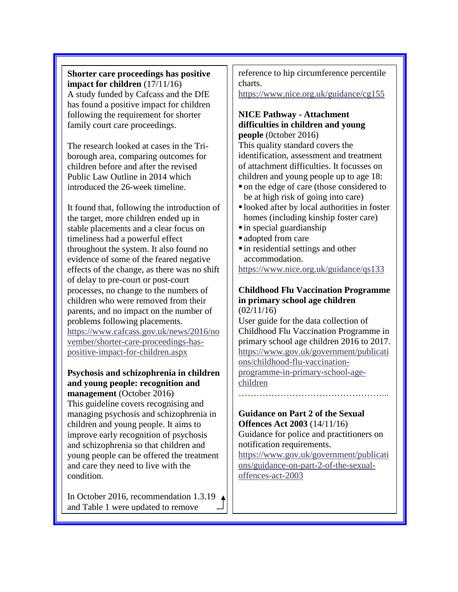**Shorter care proceedings has positive impact for children** (17/11/16) A study funded by Cafcass and the DfE has found a positive impact for children following the requirement for shorter family court care proceedings.

The research looked at cases in the Triborough area, comparing outcomes for children before and after the revised Public Law Outline in 2014 which introduced the 26-week timeline.

It found that, following the introduction of the target, more children ended up in stable placements and a clear focus on timeliness had a powerful effect throughout the system. It also found no evidence of some of the feared negative effects of the change, as there was no shift of delay to pre-court or post-court processes, no change to the numbers of children who were removed from their parents, and no impact on the number of problems following placements. [https://www.cafcass.gov.uk/news/2016/no](https://www.cafcass.gov.uk/news/2016/november/shorter-care-proceedings-has-positive-impact-for-children.aspx) [vember/shorter-care-proceedings-has](https://www.cafcass.gov.uk/news/2016/november/shorter-care-proceedings-has-positive-impact-for-children.aspx)[positive-impact-for-children.aspx](https://www.cafcass.gov.uk/news/2016/november/shorter-care-proceedings-has-positive-impact-for-children.aspx)

#### **Psychosis and schizophrenia in children and young people: recognition and management** (October 2016)

This guideline covers recognising and managing psychosis and schizophrenia in children and young people. It aims to improve early recognition of psychosis and schizophrenia so that children and young people can be offered the treatment and care they need to live with the condition.

In October 2016, recommendation 1.3.19 and Table 1 were updated to remove

reference to hip circumference percentile charts.

<https://www.nice.org.uk/guidance/cg155>

#### **NICE Pathway - Attachment difficulties in children and young people** (0ctober 2016)

This quality standard covers the identification, assessment and treatment of attachment difficulties. It focusses on children and young people up to age 18:

- on the edge of care (those considered to be at high risk of going into care)
- looked after by local authorities in foster homes (including kinship foster care)
- $\blacksquare$  in special guardianship
- adopted from care
- in residential settings and other accommodation.

<https://www.nice.org.uk/guidance/qs133>

#### **Childhood Flu Vaccination Programme in primary school age children**  $(02/11/16)$

User guide for the data collection of Childhood Flu Vaccination Programme in primary school age children 2016 to 2017. [https://www.gov.uk/government/publicati](https://www.gov.uk/government/publications/childhood-flu-vaccination-programme-in-primary-school-age-children) [ons/childhood-flu-vaccination](https://www.gov.uk/government/publications/childhood-flu-vaccination-programme-in-primary-school-age-children)[programme-in-primary-school-age](https://www.gov.uk/government/publications/childhood-flu-vaccination-programme-in-primary-school-age-children)[children](https://www.gov.uk/government/publications/childhood-flu-vaccination-programme-in-primary-school-age-children)

…………………………………………...

#### **Guidance on Part 2 of the Sexual Offences Act 2003** (14/11/16)

Guidance for police and practitioners on notification requirements.

[https://www.gov.uk/government/publicati](https://www.gov.uk/government/publications/guidance-on-part-2-of-the-sexual-offences-act-2003) [ons/guidance-on-part-2-of-the-sexual](https://www.gov.uk/government/publications/guidance-on-part-2-of-the-sexual-offences-act-2003)[offences-act-2003](https://www.gov.uk/government/publications/guidance-on-part-2-of-the-sexual-offences-act-2003)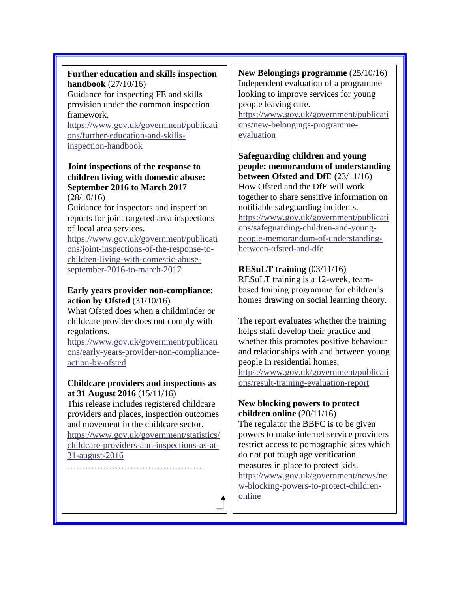# **Further education and skills inspection handbook** (27/10/16)

Guidance for inspecting FE and skills provision under the common inspection framework.

[https://www.gov.uk/government/publicati](https://www.gov.uk/government/publications/further-education-and-skills-inspection-handbook) [ons/further-education-and-skills](https://www.gov.uk/government/publications/further-education-and-skills-inspection-handbook)[inspection-handbook](https://www.gov.uk/government/publications/further-education-and-skills-inspection-handbook)

#### **Joint inspections of the response to children living with domestic abuse: September 2016 to March 2017** (28/10/16)

Guidance for inspectors and inspection reports for joint targeted area inspections of local area services.

[https://www.gov.uk/government/publicati](https://www.gov.uk/government/publications/joint-inspections-of-the-response-to-children-living-with-domestic-abuse-september-2016-to-march-2017) [ons/joint-inspections-of-the-response-to](https://www.gov.uk/government/publications/joint-inspections-of-the-response-to-children-living-with-domestic-abuse-september-2016-to-march-2017)[children-living-with-domestic-abuse](https://www.gov.uk/government/publications/joint-inspections-of-the-response-to-children-living-with-domestic-abuse-september-2016-to-march-2017)[september-2016-to-march-2017](https://www.gov.uk/government/publications/joint-inspections-of-the-response-to-children-living-with-domestic-abuse-september-2016-to-march-2017)

# **Early years provider non-compliance: action by Ofsted** (31/10/16)

What Ofsted does when a childminder or childcare provider does not comply with regulations.

[https://www.gov.uk/government/publicati](https://www.gov.uk/government/publications/early-years-provider-non-compliance-action-by-ofsted) [ons/early-years-provider-non-compliance](https://www.gov.uk/government/publications/early-years-provider-non-compliance-action-by-ofsted)[action-by-ofsted](https://www.gov.uk/government/publications/early-years-provider-non-compliance-action-by-ofsted)

# **Childcare providers and inspections as at 31 August 2016** (15/11/16)

This release includes registered childcare providers and places, inspection outcomes and movement in the childcare sector.

[https://www.gov.uk/government/statistics/](https://www.gov.uk/government/statistics/childcare-providers-and-inspections-as-at-31-august-2016) [childcare-providers-and-inspections-as-at-](https://www.gov.uk/government/statistics/childcare-providers-and-inspections-as-at-31-august-2016)[31-august-2016](https://www.gov.uk/government/statistics/childcare-providers-and-inspections-as-at-31-august-2016)

……………………………………….

### **New Belongings programme** (25/10/16) Independent evaluation of a programme looking to improve services for young people leaving care.

[https://www.gov.uk/government/publicati](https://www.gov.uk/government/publications/new-belongings-programme-evaluation) [ons/new-belongings-programme](https://www.gov.uk/government/publications/new-belongings-programme-evaluation)[evaluation](https://www.gov.uk/government/publications/new-belongings-programme-evaluation)

**Safeguarding children and young people: memorandum of understanding between Ofsted and DfE** (23/11/16) How Ofsted and the DfE will work together to share sensitive information on notifiable safeguarding incidents. [https://www.gov.uk/government/publicati](https://www.gov.uk/government/publications/safeguarding-children-and-young-people-memorandum-of-understanding-between-ofsted-and-dfe) [ons/safeguarding-children-and-young](https://www.gov.uk/government/publications/safeguarding-children-and-young-people-memorandum-of-understanding-between-ofsted-and-dfe)[people-memorandum-of-understanding](https://www.gov.uk/government/publications/safeguarding-children-and-young-people-memorandum-of-understanding-between-ofsted-and-dfe)[between-ofsted-and-dfe](https://www.gov.uk/government/publications/safeguarding-children-and-young-people-memorandum-of-understanding-between-ofsted-and-dfe)

# **RESuLT training** (03/11/16)

RESuLT training is a 12-week, teambased training programme for children's homes drawing on social learning theory.

The report evaluates whether the training helps staff develop their practice and whether this promotes positive behaviour and relationships with and between young people in residential homes. [https://www.gov.uk/government/publicati](https://www.gov.uk/government/publications/result-training-evaluation-report) [ons/result-training-evaluation-report](https://www.gov.uk/government/publications/result-training-evaluation-report)

# **New blocking powers to protect children online** (20/11/16)

The regulator the BBFC is to be given powers to make internet service providers restrict access to pornographic sites which do not put tough age verification measures in place to protect kids. [https://www.gov.uk/government/news/ne](https://www.gov.uk/government/news/new-blocking-powers-to-protect-children-online) [w-blocking-powers-to-protect-children](https://www.gov.uk/government/news/new-blocking-powers-to-protect-children-online)[online](https://www.gov.uk/government/news/new-blocking-powers-to-protect-children-online)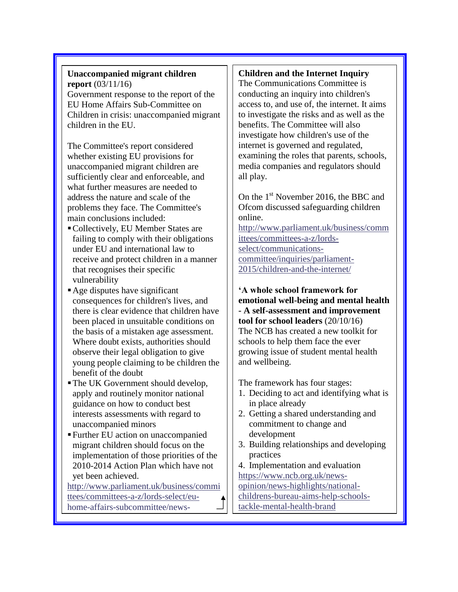#### **Unaccompanied migrant children report** (03/11/16) Government response to the report of the EU Home Affairs Sub-Committee on Children in crisis: unaccompanied migrant children in the EU.

The Committee's report considered whether existing EU provisions for unaccompanied migrant children are sufficiently clear and enforceable, and what further measures are needed to address the nature and scale of the problems they face. The Committee's main conclusions included:

- Collectively, EU Member States are failing to comply with their obligations under EU and international law to receive and protect children in a manner that recognises their specific vulnerability
- Age disputes have significant consequences for children's lives, and there is clear evidence that children have been placed in unsuitable conditions on the basis of a mistaken age assessment. Where doubt exists, authorities should observe their legal obligation to give young people claiming to be children the benefit of the doubt
- The UK Government should develop, apply and routinely monitor national guidance on how to conduct best interests assessments with regard to unaccompanied minors
- Further EU action on unaccompanied migrant children should focus on the implementation of those priorities of the 2010-2014 Action Plan which have not yet been achieved.

[http://www.parliament.uk/business/commi](http://www.parliament.uk/business/committees/committees-a-z/lords-select/eu-home-affairs-subcommittee/news-parliament-2015/government-responds-child-migrant/) [ttees/committees-a-z/lords-select/eu](http://www.parliament.uk/business/committees/committees-a-z/lords-select/eu-home-affairs-subcommittee/news-parliament-2015/government-responds-child-migrant/)[home-affairs-subcommittee/news-](http://www.parliament.uk/business/committees/committees-a-z/lords-select/eu-home-affairs-subcommittee/news-parliament-2015/government-responds-child-migrant/)

[parliament-2015/government-responds-](http://www.parliament.uk/business/committees/committees-a-z/lords-select/eu-home-affairs-subcommittee/news-parliament-2015/government-responds-child-migrant/)

# **Children and the Internet Inquiry**

The Communications Committee is conducting an inquiry into children's access to, and use of, the internet. It aims to investigate the risks and as well as the benefits. The Committee will also investigate how children's use of the internet is governed and regulated, examining the roles that parents, schools, media companies and regulators should all play.

On the  $1<sup>st</sup>$  November 2016, the BBC and Ofcom discussed safeguarding children online.

[http://www.parliament.uk/business/comm](http://www.parliament.uk/business/committees/committees-a-z/lords-select/communications-committee/inquiries/parliament-2015/children-and-the-internet/) [ittees/committees-a-z/lords](http://www.parliament.uk/business/committees/committees-a-z/lords-select/communications-committee/inquiries/parliament-2015/children-and-the-internet/)[select/communications](http://www.parliament.uk/business/committees/committees-a-z/lords-select/communications-committee/inquiries/parliament-2015/children-and-the-internet/)[committee/inquiries/parliament-](http://www.parliament.uk/business/committees/committees-a-z/lords-select/communications-committee/inquiries/parliament-2015/children-and-the-internet/)[2015/children-and-the-internet/](http://www.parliament.uk/business/committees/committees-a-z/lords-select/communications-committee/inquiries/parliament-2015/children-and-the-internet/)

**'A whole school framework for emotional well-being and mental health - A self-assessment and improvement tool for school leaders** (20/10/16) The NCB has created a new toolkit for schools to help them face the ever growing issue of student mental health and wellbeing.

The framework has four stages:

- 1. Deciding to act and identifying what is in place already
- 2. Getting a shared understanding and commitment to change and development
- 3. Building relationships and developing practices
- 4. Implementation and evaluation [https://www.ncb.org.uk/news](https://www.ncb.org.uk/news-opinion/news-highlights/national-childrens-bureau-aims-help-schools-tackle-mental-health-brand)[opinion/news-highlights/national](https://www.ncb.org.uk/news-opinion/news-highlights/national-childrens-bureau-aims-help-schools-tackle-mental-health-brand)[childrens-bureau-aims-help-schools](https://www.ncb.org.uk/news-opinion/news-highlights/national-childrens-bureau-aims-help-schools-tackle-mental-health-brand)[tackle-mental-health-brand](https://www.ncb.org.uk/news-opinion/news-highlights/national-childrens-bureau-aims-help-schools-tackle-mental-health-brand)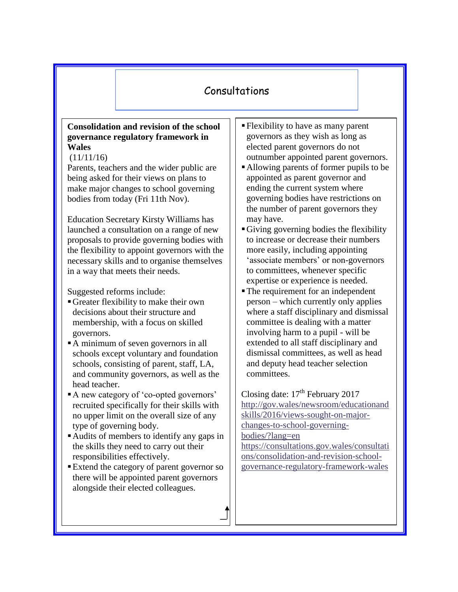# Consultations

## **Consolidation and revision of the school governance regulatory framework in Wales**

#### $(11/11/16)$

Parents, teachers and the wider public are being asked for their views on plans to make major changes to school governing bodies from today (Fri 11th Nov).

Education Secretary Kirsty Williams has launched a consultation on a range of new proposals to provide governing bodies with the flexibility to appoint governors with the necessary skills and to organise themselves in a way that meets their needs.

Suggested reforms include:

- Greater flexibility to make their own decisions about their structure and membership, with a focus on skilled governors.
- A minimum of seven governors in all schools except voluntary and foundation schools, consisting of parent, staff, LA, and community governors, as well as the head teacher.
- A new category of 'co-opted governors' recruited specifically for their skills with no upper limit on the overall size of any type of governing body.
- Audits of members to identify any gaps in the skills they need to carry out their responsibilities effectively.
- Extend the category of parent governor so there will be appointed parent governors alongside their elected colleagues.
- Flexibility to have as many parent governors as they wish as long as elected parent governors do not outnumber appointed parent governors.
- Allowing parents of former pupils to be appointed as parent governor and ending the current system where governing bodies have restrictions on the number of parent governors they may have.
- Giving governing bodies the flexibility to increase or decrease their numbers more easily, including appointing 'associate members' or non-governors to committees, whenever specific expertise or experience is needed.
- The requirement for an independent person – which currently only applies where a staff disciplinary and dismissal committee is dealing with a matter involving harm to a pupil - will be extended to all staff disciplinary and dismissal committees, as well as head and deputy head teacher selection committees.

Closing date:  $17<sup>th</sup>$  February 2017 [http://gov.wales/newsroom/educationand](http://gov.wales/newsroom/educationandskills/2016/views-sought-on-major-changes-to-school-governing-bodies/?lang=en) [skills/2016/views-sought-on-major](http://gov.wales/newsroom/educationandskills/2016/views-sought-on-major-changes-to-school-governing-bodies/?lang=en)[changes-to-school-governing](http://gov.wales/newsroom/educationandskills/2016/views-sought-on-major-changes-to-school-governing-bodies/?lang=en)[bodies/?lang=en](http://gov.wales/newsroom/educationandskills/2016/views-sought-on-major-changes-to-school-governing-bodies/?lang=en) [https://consultations.gov.wales/consultati](https://consultations.gov.wales/consultations/consolidation-and-revision-school-governance-regulatory-framework-wales) [ons/consolidation-and-revision-school-](https://consultations.gov.wales/consultations/consolidation-and-revision-school-governance-regulatory-framework-wales)

[governance-regulatory-framework-wales](https://consultations.gov.wales/consultations/consolidation-and-revision-school-governance-regulatory-framework-wales)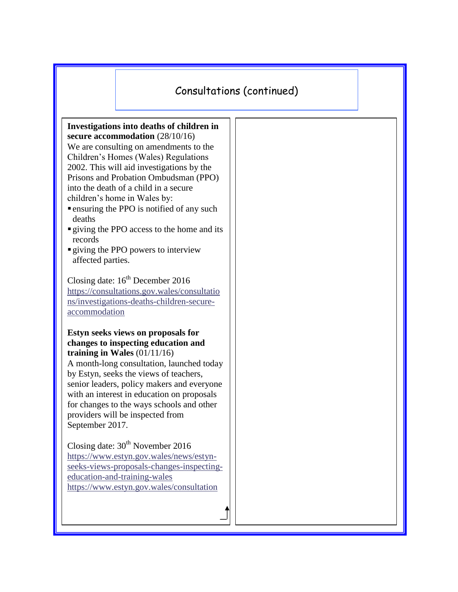# Consultations (continued)

**Investigations into deaths of children in secure accommodation** (28/10/16) We are consulting on amendments to the Children's Homes (Wales) Regulations 2002. This will aid investigations by the Prisons and Probation Ombudsman (PPO) into the death of a child in a secure children's home in Wales by:

- ensuring the PPO is notified of any such deaths
- giving the PPO access to the home and its records
- giving the PPO powers to interview affected parties.

Closing date:  $16^{th}$  December 2016 [https://consultations.gov.wales/consultatio](https://consultations.gov.wales/consultations/investigations-deaths-children-secure-accommodation) [ns/investigations-deaths-children-secure](https://consultations.gov.wales/consultations/investigations-deaths-children-secure-accommodation)[accommodation](https://consultations.gov.wales/consultations/investigations-deaths-children-secure-accommodation)

#### **Estyn seeks views on proposals for changes to inspecting education and training in Wales** (01/11/16)

A month-long consultation, launched today by Estyn, seeks the views of teachers, senior leaders, policy makers and everyone with an interest in education on proposals for changes to the ways schools and other providers will be inspected from September 2017.

Closing date:  $30<sup>th</sup>$  November 2016 [https://www.estyn.gov.wales/news/estyn](https://www.estyn.gov.wales/news/estyn-seeks-views-proposals-changes-inspecting-education-and-training-wales)[seeks-views-proposals-changes-inspecting](https://www.estyn.gov.wales/news/estyn-seeks-views-proposals-changes-inspecting-education-and-training-wales)[education-and-training-wales](https://www.estyn.gov.wales/news/estyn-seeks-views-proposals-changes-inspecting-education-and-training-wales) <https://www.estyn.gov.wales/consultation>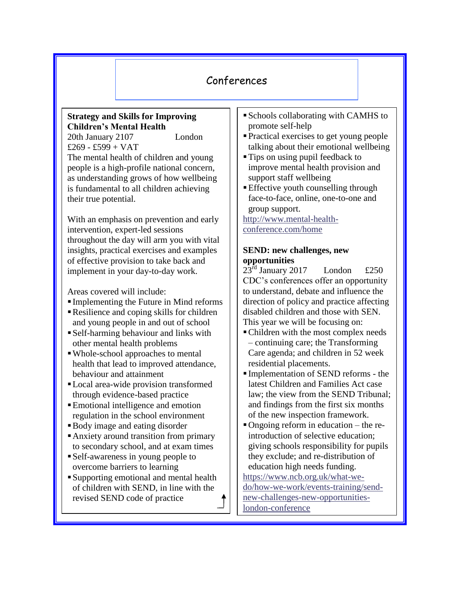# Conferences

# **Strategy and Skills for Improving Children's Mental Health**

20th January 2107 London £269 - £599 + VAT The mental health of children and young people is a high-profile national concern, as understanding grows of how wellbeing is fundamental to all children achieving their true potential.

With an emphasis on prevention and early intervention, expert-led sessions throughout the day will arm you with vital insights, practical exercises and examples of effective provision to take back and implement in your day-to-day work.

Areas covered will include:

- Implementing the Future in Mind reforms
- Resilience and coping skills for children and young people in and out of school
- Self-harming behaviour and links with other mental health problems
- Whole-school approaches to mental health that lead to improved attendance, behaviour and attainment
- Local area-wide provision transformed through evidence-based practice
- Emotional intelligence and emotion regulation in the school environment
- Body image and eating disorder
- Anxiety around transition from primary to secondary school, and at exam times
- Self-awareness in young people to overcome barriers to learning
- Supporting emotional and mental health of children with SEND, in line with the revised SEND code of practice
- Schools collaborating with CAMHS to promote self-help
- Practical exercises to get young people talking about their emotional wellbeing
- **Tips on using pupil feedback to** improve mental health provision and support staff wellbeing
- **Effective youth counselling through** face-to-face, online, one-to-one and group support.

[http://www.mental-health](http://www.mental-health-conference.com/home)[conference.com/home](http://www.mental-health-conference.com/home)

# **SEND: new challenges, new opportunities**

 $23<sup>rd</sup>$  January 2017 London £250 CDC's conferences offer an opportunity to understand, debate and influence the direction of policy and practice affecting disabled children and those with SEN. This year we will be focusing on:

- Children with the most complex needs – continuing care; the Transforming Care agenda; and children in 52 week residential placements.
- Implementation of SEND reforms the latest Children and Families Act case law; the view from the SEND Tribunal; and findings from the first six months of the new inspection framework.
- Ongoing reform in education the reintroduction of selective education; giving schools responsibility for pupils they exclude; and re-distribution of education high needs funding.

[https://www.ncb.org.uk/what-we](https://www.ncb.org.uk/what-we-do/how-we-work/events-training/send-new-challenges-new-opportunities-london-conference)[do/how-we-work/events-training/send](https://www.ncb.org.uk/what-we-do/how-we-work/events-training/send-new-challenges-new-opportunities-london-conference)[new-challenges-new-opportunities](https://www.ncb.org.uk/what-we-do/how-we-work/events-training/send-new-challenges-new-opportunities-london-conference)[london-conference](https://www.ncb.org.uk/what-we-do/how-we-work/events-training/send-new-challenges-new-opportunities-london-conference)